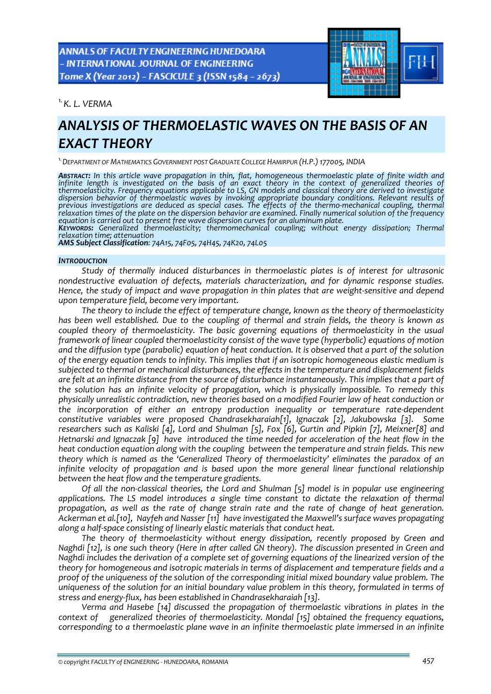ANNALS OF FACULTY ENGINEERING HUNEDOARA - INTERNATIONAL JOURNAL OF ENGINEERING Tome X (Year 2012) - FASCICULE 3 (ISSN 1584 - 2673)



*1.K. L. VERMA* 

# *ANALYSIS OF THERMOELASTIC WAVES ON THE BASIS OF AN EXACT THEORY*

*1.DEPARTMENT OF MATHEMATICS GOVERNMENT POST GRADUATE COLLEGE HAMIRPUR (H.P.)177005, INDIA*

*ABSTRACT: In this article wave propagation in thin, flat, homogeneous thermoelastic plate of finite width and* infinite length is investigated on the basis of an exact theory in the context of generalized theories of<br>thermoelasticity. Frequency equations applicable to LS, GN models and classical theory are derived to investigate<br>di *previous investigations are deduced as special cases. The effects of the thermo‐mechanical coupling, thermal* relaxation times of the plate on the dispersion behavior are examined. Finally numerical solution of the frequency equation is carried out to present free wave dispersion curves for an aluminum plate.<br>KEYWORDS: Generalized thermoelasticity; thermomechanical coupling; without energy dissipation; Thermal

*relaxation time; attenuation*

*AMS Subject Classification: 74A15, 74F05, 74H45, 74K20, 74L05*

#### *INTRODUCTION*

*Study of thermally induced disturbances in thermoelastic plates is of interest for ultrasonic nondestructive evaluation of defects, materials characterization, and for dynamic response studies.* Hence, the study of impact and wave propagation in thin plates that are weight-sensitive and depend *upon temperature field, become very important.* 

*The theory to include the effect of temperature change, known as the theory of thermoelasticity* has been well established. Due to the coupling of thermal and strain fields, the theory is known as *coupled theory of thermoelasticity. The basic governing equations of thermoelasticity in the usual framework of linear coupled thermoelasticity consist of the wave type (hyperbolic) equations of motion* and the diffusion type (parabolic) equation of heat conduction. It is observed that a part of the solution *of the energy equation tends to infinity. This implies that if an isotropic homogeneous elastic medium is subjected to thermal or mechanical disturbances, the effects in the temperature and displacement fields* are felt at an infinite distance from the source of disturbance instantaneously. This implies that a part of *the solution has an infinite velocity of propagation, which is physically impossible. To remedy this physically unrealistic contradiction, new theories based on a modified Fourier law of heat conduction or the incorporation of either an entropy production inequality or temperature rate‐dependent constitutive variables were proposed Chandrasekharaiah[1], Ignaczak [2], Jakubowska [3]. Some researchers such as Kaliski [4], Lord and Shulman [5], Fox [6], Gurtin and Pipkin [7], Meixner[8] and* Hetnarski and Ignaczak [9] have introduced the time needed for acceleration of the heat flow in the *heat conduction equation along with the coupling between the temperature and strain fields. This new theory which is named as the 'Generalized Theory of thermoelasticity' eliminates the paradox of an infinite velocity of propagation and is based upon the more general linear functional relationship between the heat flow and the temperature gradients.* 

*Of all the non‐classical theories, the Lord and Shulman [5] model is in popular use engineering applications. The LS model introduces a single time constant to dictate the relaxation of thermal propagation, as well as the rate of change strain rate and the rate of change of heat generation. Ackerman et al.[10], Nayfeh and Nasser [11] have investigated the Maxwell's surface waves propagating along a half‐space consisting of linearly elastic materials that conduct heat.* 

*The theory of thermoelasticity without energy dissipation, recently proposed by Green and* Naghdi [12], is one such theory (Here in after called GN theory). The discussion presented in Green and *Naghdi includes the derivation of a complete set of governing equations of the linearized version of the theory for homogeneous and isotropic materials in terms of displacement and temperature fields and a proof of the uniqueness of the solution of the corresponding initial mixed boundary value problem. The uniqueness of the solution for an initial boundary value problem in this theory, formulated in terms of stress and energy‐flux, has been established in Chandrasekharaiah [13].*

*Verma and Hasebe [14] discussed the propagation of thermoelastic vibrations in plates in the context of generalized theories of thermoelasticity. Mondal [15] obtained the frequency equations, corresponding to a thermoelastic plane wave in an infinite thermoelastic plate immersed in an infinite*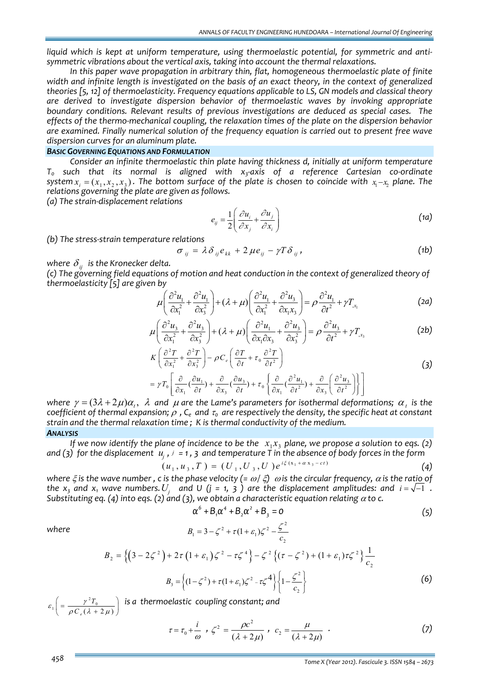*liquid which is kept at uniform temperature, using thermoelastic potential, for symmetric and anti‐ symmetric vibrations about the vertical axis, taking into account the thermal relaxations.*

*In this paper wave propagation in arbitrary thin, flat, homogeneous thermoelastic plate of finite* width and infinite length is investigated on the basis of an exact theory, in the context of generalized *theories [5, 12] of thermoelasticity. Frequency equations applicable to LS, GN models and classical theory are derived to investigate dispersion behavior of thermoelastic waves by invoking appropriate boundary conditions. Relevant results of previous investigations are deduced as special cases. The effects of the thermo‐mechanical coupling, the relaxation times of the plate on the dispersion behavior are examined. Finally numerical solution of the frequency equation is carried out to present free wave dispersion curves for an aluminum plate.*

# *BASIC GOVERNING EQUATIONS AND FORMULATION*

*Consider an infinite thermoelastic thin plate having thickness d, initially at uniform temperature T0 such that its normal is aligned with x3‐axis of a reference Cartesian co‐ordinate* system  $x_i = (x_1, x_2, x_3)$ . The bottom surface of the plate is chosen to coincide with  $x_i - x_j$  plane. The *relations governing the plate are given as follows.*

*(a) The strain‐displacement relations* 

$$
e_{ij} = \frac{1}{2} \left( \frac{\partial u_i}{\partial x_j} + \frac{\partial u_j}{\partial x_i} \right)
$$
 (1a)

*(b) The stress‐strain temperature relations*

$$
\sigma_{ij} = \lambda \delta_{ij} e_{kk} + 2 \mu e_{ij} - \gamma T \delta_{ij}, \qquad (1b)
$$

*where*  $\delta_{ij}$  *is the Kronecker delta.* 

*(c) The governing field equations of motion and heat conduction in the context of generalized theory of thermoelasticity [5] are given by*

$$
\mu \left( \frac{\partial^2 u_1}{\partial x_1^2} + \frac{\partial^2 u_1}{\partial x_3^2} \right) + (\lambda + \mu) \left( \frac{\partial^2 u_1}{\partial x_1^2} + \frac{\partial^2 u_3}{\partial x_1 x_3} \right) = \rho \frac{\partial^2 u_1}{\partial t^2} + \gamma T_{,x_1}
$$
 (2a)

$$
\mu \left( \frac{\partial^2 u_3}{\partial x_1^2} + \frac{\partial^2 u_3}{\partial x_3^2} \right) + (\lambda + \mu) \left( \frac{\partial^2 u_1}{\partial x_1 \partial x_3} + \frac{\partial^2 u_3}{\partial x_3^2} \right) = \rho \frac{\partial^2 u_3}{\partial t^2} + \gamma T_{,x_3}
$$
 (2b)

$$
K\left(\frac{\partial^2 T}{\partial x_1^2} + \frac{\partial^2 T}{\partial x_3^2}\right) - \rho C_e \left(\frac{\partial T}{\partial t} + \tau_0 \frac{\partial^2 T}{\partial t^2}\right)
$$
  
=  $\gamma T_0 \left[\frac{\partial}{\partial x_1} (\frac{\partial u_1}{\partial t}) + \frac{\partial}{\partial x_3} (\frac{\partial u_3}{\partial t}) + \tau_0 \left\{\frac{\partial}{\partial x_1} (\frac{\partial^2 u_1}{\partial t^2}) + \frac{\partial}{\partial x_3} (\frac{\partial^2 u_3}{\partial t^2})\right\}\right]$  (3)

*where*  $\gamma = (3\lambda + 2\mu)\alpha_r$ ,  $\lambda$  and  $\mu$  are the Lame's parameters for isothermal deformations;  $\alpha_r$  is the coefficient of thermal expansion;  $\rho$ , C<sub>e</sub> and  $\tau_0$  are respectively the density, the specific heat at constant *strain and the thermal relaxation time ; K is thermal conductivity of the medium. ANALYSIS*

If we now identify the plane of incidence to be the  $x_1x_3$  plane, we propose a solution to eqs. (2) and (3) for the displacement  $u_i$ ,  $i = 1$ , 3 and temperature T in the absence of body forces in the form

$$
(u_1, u_3, T) = (U_1, U_3, U) e^{i\xi(x_1 + \alpha x_3 - ct)}
$$
\n(4)

where  $\xi$  is the wave number, c is the phase velocity (=  $\omega/\xi$ )  $\omega$  is the circular frequency,  $\alpha$  is the ratio of the  $x_3$  and  $x_1$  wave numbers.  $U_i$  and U (j = 1, 3) are the displacement amplitudes: and  $i = \sqrt{-1}$ . *Substituting eq.* (4) *into eqs.* (2) *and* (3), we obtain *a* characteristic equation relating  $\alpha$  to *c.* 

$$
\alpha^6 + B_1 \alpha^4 + B_2 \alpha^2 + B_3 = 0 \tag{5}
$$

where  
\n
$$
B_1 = 3 - \zeta^2 + \tau (1 + \varepsilon_1) \zeta^2 - \frac{\zeta^2}{c_2}
$$
\n
$$
B_2 = \left\{ \left( 3 - 2\zeta^2 \right) + 2\tau \left( 1 + \varepsilon_1 \right) \zeta^2 - \tau \zeta^4 \right\} - \zeta^2 \left\{ \left( \tau - \zeta^2 \right) + \left( 1 + \varepsilon_1 \right) \tau \zeta^2 \right\} \frac{1}{c_2}
$$
\n
$$
B_3 = \left\{ \left( 1 - \zeta^2 \right) + \tau \left( 1 + \varepsilon_1 \right) \zeta^2 - \tau \zeta^4 \right\} \left\{ 1 - \frac{\zeta^2}{c_2} \right\}
$$
\n(6)

 $\gamma_1 = \frac{\gamma^2 T_0}{\rho C_e (\lambda + 2 \mu)}$ *T C*  $\epsilon$ ,  $\vert$  =  $\frac{\gamma}{\sqrt{2\pi}}$  $\left( = \frac{\gamma^2 T_0}{\rho C_e (\lambda + 2 \mu)} \right)$  *is a thermoelastic coupling constant; and* 

$$
\tau = \tau_0 + \frac{i}{\omega} \; , \; \zeta^2 = \frac{\rho c^2}{(\lambda + 2\mu)} \; , \; c_2 = \frac{\mu}{(\lambda + 2\mu)} \; . \tag{7}
$$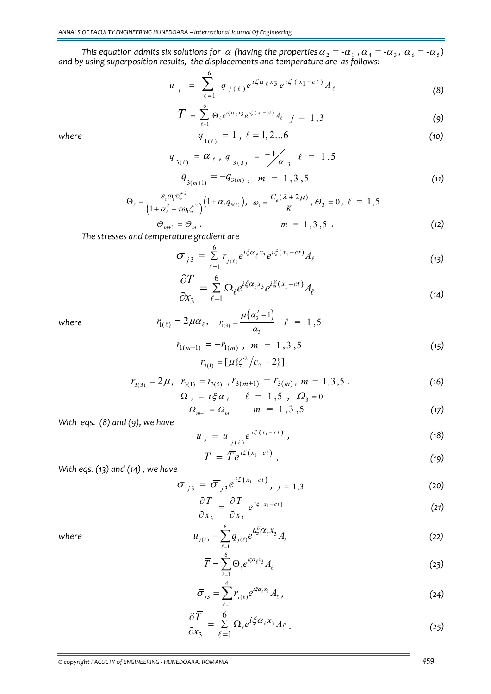*This* equation admits six solutions for  $\alpha$  (having the properties  $\alpha_2 = -\alpha_1$  ,  $\alpha_4 = -\alpha_3$  ,  $\alpha_6 = -\alpha_5$ ) *and by using superposition results, the displacements and temperature are as follows:*

$$
u_{j} = \sum_{\ell=1}^{6} q_{j(\ell)} e^{i\xi \alpha_{\ell} x_{3}} e^{i\xi (x_{1} - ct)} A_{\ell}
$$
 (8)

$$
T = \sum_{\ell=1}^{6} \Theta_{\ell} e^{i \xi \alpha_{\ell} x_3} e^{i \xi (x_1 - ct)} A_{\ell} \quad j = 1,3
$$
 (9)

where 
$$
q_{1(\ell)} = 1
$$
,  $\ell = 1, 2...6$  (10)

$$
q_{3(\ell)} = \alpha_{\ell}, q_{3(3)} = -\frac{1}{\alpha_{3}} \ell = 1,5
$$
  
\n
$$
q_{3(m+1)} = -q_{3(m)}, m = 1,3,5
$$
\n(11)

$$
\Theta_{\ell} = \frac{\varepsilon_1 \omega_1 \tau \zeta^2}{\left(1 + \alpha_{\ell}^2 - \tau \omega_1 \zeta^2\right)} \left(1 + \alpha_{\ell} q_{3(\ell)}\right), \quad \omega_1 = \frac{C_{\varepsilon} (\lambda + 2\mu)}{K}, \quad \Theta_3 = 0, \quad \ell = 1, 5
$$
\n
$$
\Theta_{m+1} = \Theta_m \tag{12}
$$

*The stresses and temperature gradient are*

$$
\sigma_{j3} = \sum_{\ell=1}^{6} r_{j(\ell)} e^{i\xi \alpha_{\ell} x_3} e^{i\xi (x_1 - ct)} A_{\ell}
$$
\n(13)

$$
\frac{\partial T}{\partial x_3} = \sum_{\ell=1}^6 \Omega_\ell e^{i\xi \alpha_\ell x_3} e^{i\xi (x_1 - ct)} A_\ell \tag{14}
$$

where 
$$
r_{1(\ell)} = 2\mu\alpha_{\ell}, \quad r_{1(3)} = \frac{\mu(\alpha_3^2 - 1)}{\alpha_3} \quad \ell = 1, 5
$$

$$
r_{1(m+1)} = -r_{1(m)}, \quad m = 1, 3, 5
$$
\n
$$
r_{3(1)} = [\mu \{\zeta^2 / c_2 - 2\}]
$$
\n(15)

$$
r_{3(3)} = 2\mu, \quad r_{3(1)} = r_{3(5)}, \quad r_{3(m+1)} = r_{3(m)}, \quad m = 1, 3, 5 \; .
$$
\n
$$
\Omega_{\ell} = \iota \xi \alpha_{\ell} \quad \ell = 1, 5, \quad \Omega_{3} = 0 \tag{16}
$$

$$
\Omega_{m+1} = \Omega_m \qquad m = 1, 3, 5 \tag{17}
$$

*With eqs. (8) and (9), we have* 

$$
u_{j} = \overline{u}_{j(\ell)} e^{i\xi(x_{1}-ct)}, \qquad (18)
$$

$$
T = \overline{T}e^{i\xi(x_1 - ct)}.
$$
 (19)

*With eqs. (13) and (14) , we have*

$$
\sigma_{j3} = \overline{\sigma}_{j3} e^{i\xi(x_1 - ct)}, \quad j = 1,3
$$
 (20)

$$
\frac{\partial T}{\partial x_3} = \frac{\partial \overline{T}}{\partial x_3} e^{i\xi [x_1 - ct]}
$$
 (21)

where  $\overline{u}$ 

$$
\overline{u}_{j(\ell)} = \sum_{\ell=1}^{6} q_{j(\ell)} e^{i \xi \alpha_{\ell} x_3} A_{\ell} \tag{22}
$$

$$
\overline{T} = \sum_{\ell=1}^{6} \Theta_{\ell} e^{i \xi \alpha_{\ell} x_3} A_{\ell} \tag{23}
$$

$$
\overline{\sigma}_{j3} = \sum_{\ell=1}^{6} r_{j(\ell)} e^{i \xi \alpha_{\ell} x_3} A_{\ell} , \qquad (24)
$$

$$
\frac{\partial \overline{T}}{\partial x_3} = \sum_{\ell=1}^6 \Omega_\ell e^{i\xi \alpha_\ell x_3} A_\ell . \tag{25}
$$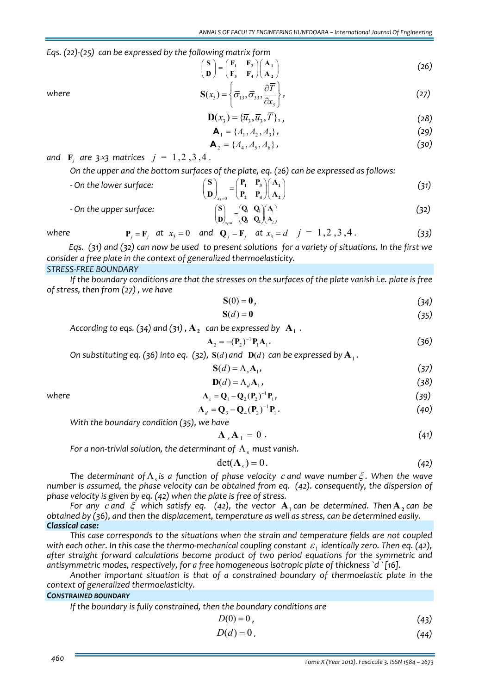*Eqs. (22)‐(25) can be expressed by the following matrix form*

$$
\begin{pmatrix} S \\ D \end{pmatrix} = \begin{pmatrix} F_1 & F_2 \\ F_3 & F_4 \end{pmatrix} \begin{pmatrix} A_1 \\ A_2 \end{pmatrix}
$$
 (26)

where 
$$
\mathbf{S}(x_3) = \left\{ \overline{\sigma}_{13}, \overline{\sigma}_{33}, \frac{\partial \overline{T}}{\partial x_3} \right\},
$$
 (27)

$$
\mathbf{D}(x_3) = {\overline{u}_3, \overline{u}_3, \overline{T}}, \qquad (28)
$$

$$
\mathbf{A}_1 = \{A_1, A_2, A_3\},\tag{29}
$$

$$
\mathbf{A}_2 = \{A_4, A_5, A_6\},\tag{30}
$$

*and*  $\bf{F}$ *, are*  $3 \times 3$  *matrices*  $j = 1, 2, 3, 4$ .

*On the upper and the bottom surfaces of the plate, eq. (26) can be expressed as follows:*

| - On the lower surface: | $\left( \begin{array}{cc} P_1 & P_3 \end{array} \right) \left( \begin{array}{c} A_1 \end{array} \right)$<br>$=$ $\begin{matrix} 1 & 1 \end{matrix}$<br>$\left( \begin{array}{cc} P_2 & P_4 \end{array} \right)$ $\left( \begin{array}{cc} A_2 \end{array} \right)$<br>$\left(\mathbf{D}\right)_{x_2=0}$ | (31) |
|-------------------------|---------------------------------------------------------------------------------------------------------------------------------------------------------------------------------------------------------------------------------------------------------------------------------------------------------|------|
| - On the upper surface: | $\begin{pmatrix} \mathbf{Q}_\text{l} & \mathbf{Q}_\text{2} \end{pmatrix} \begin{pmatrix} \mathbf{A}_\text{l} \end{pmatrix}$<br>$\bf D$<br>$\mathbf{Q}_3 \quad \mathbf{Q}_4 \mathbf{A}_2$                                                                                                                | (32) |

where  $P_i = F_i$  at  $x_3 = 0$  and  $Q_j = F_j$  at  $x_3 = d$   $j = 1, 2, 3, 4$ . (33)

Eqs. (31) and (32) can now be used to present solutions for a variety of situations. In the first we *consider a free plate in the context of generalized thermoelasticity.*

# *STRESS‐FREE BOUNDARY*

If the boundary conditions are that the stresses on the surfaces of the plate vanish i.e. plate is free *of stress, then from (27) , we have* 

$$
\mathbf{S}(0) = \mathbf{0},\tag{34}
$$

$$
S(d) = 0 \tag{35}
$$

*According to eqs.* (34) *and* (31),  $A_2$  *can be expressed by*  $A_1$ *.* 

$$
\mathbf{A}_2 = -(\mathbf{P}_2)^{-1} \mathbf{P}_1 \mathbf{A}_1. \tag{36}
$$

On substituting eq. (36) into eq. (32),  $S(d)$  and  $D(d)$  can be expressed by  $A_1$ .

$$
S(d) = \Lambda_s A_1,\tag{37}
$$

$$
\mathbf{D}(d) = \Lambda_d \mathbf{A}_1,\tag{38}
$$

where 
$$
\Lambda_s = Q_1 - Q_2 (P_2)^{-1} P_1, \qquad (39)
$$

$$
\Lambda_d = \mathbf{Q}_3 - \mathbf{Q}_4 (\mathbf{P}_2)^{-1} \mathbf{P}_1.
$$
 (40)

*With the boundary condition (35), we have*

$$
\Lambda_{s} A_{1} = 0. \qquad (41)
$$

*For a non-trivial solution, the determinant of*  $Λ$ <sub>*c</sub></sub> <i>must vanish.*</sub>

$$
\det(\Lambda_s) = 0. \tag{42}
$$

*The determinant of*Λ<sup>s</sup> *is a function of phase velocity c and wave number*ξ *. When the wave number is assumed, the phase velocity can be obtained from eq. (42). consequently, the dispersion of phase velocity is given by eq. (42) when the plate is free of stress.*

*For any c and*  $\xi$  *which satisfy eq.* (42), *the vector* **A**<sub>1</sub> *can be determined. Then* **A**<sub>2</sub> *can be obtained by (36), and then the displacement, temperature as well as stress, can be determined easily. Classical case:*

*This case corresponds to the situations when the strain and temperature fields are not coupled* with each other. In this case the thermo-mechanical coupling constant  $\varepsilon_1$  identically zero. Then eq. (42), *after straight forward calculations become product of two period equations for the symmetric and antisymmetric modes, respectively, for a free homogeneous isotropic plate of thickness `d `[16].* 

*Another important situation is that of a constrained boundary of thermoelastic plate in the context of generalized thermoelasticity.*

# *CONSTRAINED BOUNDARY*

| If the boundary is fully constrained, then the boundary conditions are |      |
|------------------------------------------------------------------------|------|
| $D(0)=0$ .                                                             | (43) |

$$
D(d) = 0.
$$
\n<sup>(44)</sup>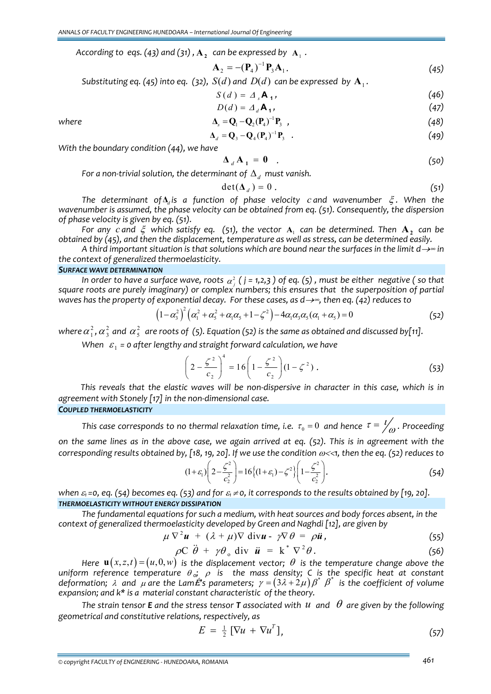*According to eqs.* (43) *and* (31),  $A_2$  *can be expressed by*  $A_1$ *.* 

$$
\mathbf{A}_2 = -(\mathbf{P}_4)^{-1} \mathbf{P}_3 \mathbf{A}_1. \tag{45}
$$

*Substituting eq.* (45) *into eq.* (32), *S*(*d*) *and D*(*d*) *can be expressed by*  $A_1$ *.* 

$$
S(d) = \Delta_s \mathbf{A}_1,\tag{46}
$$

$$
D(d) = \Delta_d \mathbf{A}_1,\tag{47}
$$

where 
$$
\Delta_{s} = \mathbf{Q}_{1} - \mathbf{Q}_{2}(\mathbf{P}_{4})^{-1} \mathbf{P}_{3} , \qquad (48)
$$

$$
\mathbf{\Delta}_d = \mathbf{Q}_3 - \mathbf{Q}_4 (\mathbf{P}_4)^{-1} \mathbf{P}_3 \tag{49}
$$

*With the boundary condition (44), we have*

$$
\Delta_d \mathbf{A}_1 = \mathbf{0} \quad . \tag{50}
$$

*For a non-trivial solution, the determinant of*  $\Delta_d$  *must vanish.* 

$$
\det(\Delta_d) = 0 \tag{51}
$$

*The determinant of***Δ***<sup>d</sup> is a function of phase velocity c and wavenumber* ξ *. When the wavenumber is assumed, the phase velocity can be obtained from eq. (51). Consequently, the dispersion of phase velocity is given by eq. (51).*

*For any c and*  $\xi$  *which satisfy eq.* (51), the vector  $A_1$  can be determined. Then  $A_2$  can be *obtained by (45), and then the displacement, temperature as well as stress, can be determined easily.*

A third important situation is that solutions which are bound near the surfaces in the limit  $d\rightarrow\infty$  in *the context of generalized thermoelasticity.*

## *SURFACE WAVE DETERMINATION*

In order to have a surface wave, roots  $\alpha_j^2$  ( j = 1,2,3 ) of eq. (5) , must be either  $\,$ negative ( so that *square roots are purely imaginary) or complex numbers; this ensures that the superposition of partial* waves has the property of exponential decay. For these cases, as  $d \rightarrow \infty$ , then eq. (42) reduces to

$$
(1 - \alpha_3^2)^2 (\alpha_1^2 + \alpha_5^2 + \alpha_1 \alpha_5 + 1 - \zeta^2) - 4\alpha_1 \alpha_3 \alpha_5 (\alpha_1 + \alpha_5) = 0
$$
 (52)

where  $\alpha_1^2$  ,  $\alpha_3^2$  and  $\alpha_5^2$  are roots of (5). Equation (52) is the same as obtained and discussed by[11].

*When*  $\varepsilon_1$  = 0 *after lengthy and straight forward calculation, we have* 

$$
\left(2 - \frac{\zeta^2}{c_2}\right)^4 = 16\left(1 - \frac{\zeta^2}{c_2}\right)(1 - \zeta^2) .
$$
 (53)

This reveals that the elastic waves will be non-dispersive in character in this case, which is in *agreement with Stonely [17] in the non‐dimensional case.*

*COUPLED THERMOELASTICITY*

*This case corresponds to no thermal relaxation time, i.e.*  $\tau_0 = 0$  *and hence*  $\tau = \frac{l}{\rho}$  *. Proceeding* on the same lines as in the above case, we again arrived at eq. (52). This is in agreement with the corresponding results obtained by, [18, 19, 20]. If we use the condition  $\omega<\lt1$ , then the eq. (52) reduces to

$$
(1+\varepsilon_1)\left(2-\frac{\zeta^2}{c_2^2}\right) = 16\left\{(1+\varepsilon_1) - \zeta^2\right\}\left(1-\frac{\zeta^2}{c_2^2}\right). \tag{54}
$$

when  $\varepsilon_1$ =0, eq. (54) becomes eq. (53) and for  $\varepsilon_1 \neq 0$ , it corresponds to the results obtained by [19, 20]. *THERMOELASTICITY WITHOUT ENERGY DISSIPATION*

*The fundamental equations for such a medium, with heat sources and body forces absent, in the context of generalized thermoelasticity developed by Green and Naghdi [12], are given by*

$$
\mu \nabla^2 \boldsymbol{u} + (\lambda + \mu) \nabla \text{ div} \boldsymbol{u} - \gamma \nabla \theta = \rho \boldsymbol{u}, \qquad (55)
$$

$$
\rho C \ddot{\theta} + \gamma \theta_{0} \text{ div } \dot{\mathbf{u}} = \mathbf{k}^{*} \nabla^{2} \theta.
$$
 (56)

*Here*  $\mathbf{u}(x, z, t) = (u, 0, w)$  *is the displacement vector;*  $\theta$  *is the temperature change above the uniform reference temperature* <sup>θ</sup> *o;* <sup>ρ</sup> *is the mass density; C is the specific heat at constant deformation;*  $\lambda$  *and*  $\mu$  *are the LamÉ's parameters;*  $\gamma = (3\lambda + 2\mu)\,\beta^* \,\beta^*$  *is the coefficient of volume expansion; and k\* is a material constant characteristic of the theory.*

The strain tensor **E** and the stress tensor **T** associated with  $u$  and  $\theta$  are given by the following *geometrical and constitutive relations, respectively, as*

$$
E = \frac{1}{2} \left[ \nabla u + \nabla u^T \right],\tag{57}
$$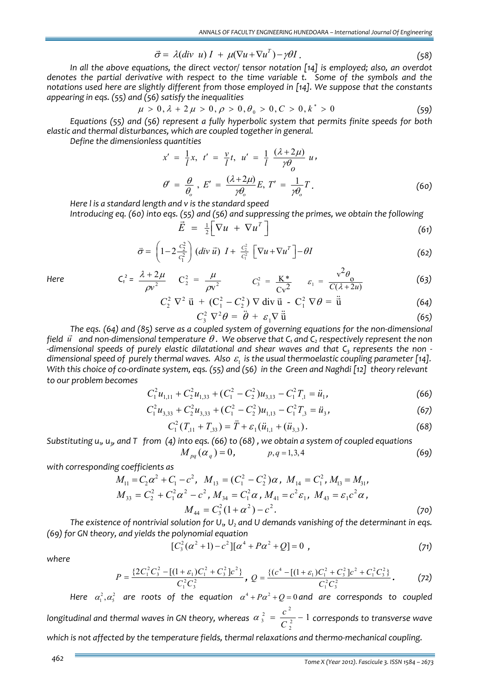$$
\vec{\sigma} = \lambda (div \ u) I + \mu (\nabla u + \nabla u^T) - \gamma \theta I. \qquad (58)
$$

*In all the above equations, the direct vector/ tensor notation [14] is employed; also, an overdot denotes the partial derivative with respect to the time variable t. Some of the symbols and the notations used here are slightly different from those employed in [14]. We suppose that the constants appearing in eqs. (55) and (56) satisfy the inequalities*

$$
\mu > 0, \lambda + 2\mu > 0, \rho > 0, \theta_0 > 0, C > 0, k^* > 0
$$
\n(59)

*Equations (55) and (56) represent a fully hyperbolic system that permits finite speeds for both elastic and thermal disturbances, which are coupled together in general.*

*Define the dimensionless quantities*

$$
x' = \frac{1}{l}x, \ t' = \frac{\nu}{l}t, \ u' = \frac{1}{l} \frac{(\lambda + 2\mu)}{\gamma \theta_0} u,
$$
  

$$
\theta' = \frac{\theta}{\theta_0}, \ E' = \frac{(\lambda + 2\mu)}{\gamma \theta_0} E, \ T' = \frac{1}{\gamma \theta_0} T.
$$
 (60)

*Here l is a standard length and v is the standard speed*

Introducing eq. (60) into eqs. (55) and (56) and suppressing the primes, we obtain the following  
\n
$$
\vec{E} = \frac{1}{2} \left[ \nabla u + \nabla u^T \right]
$$
\n(61)

$$
\vec{\sigma} = \left(1 - 2\frac{c_2^2}{c_1^2}\right) \left(\text{div } \vec{u}\right) \, I + \frac{c_2^2}{c_1^2} \left[\nabla u + \nabla u^T\right] - \theta I \tag{62}
$$

*Here C1*

$$
C_1^2 = \frac{\lambda + 2\mu}{\rho v^2}
$$
  $C_2^2 = \frac{\mu}{\rho v^2}$   $C_3^2 = \frac{K^*}{Cv^2}$   $\varepsilon_1 = \frac{v^2 \theta_0}{C(\lambda + 2u)}$  (63)

$$
C_2^2 \nabla^2 \vec{u} + (C_1^2 - C_2^2) \nabla \vec{u} \vec{u} - C_1^2 \nabla \theta = \ddot{\vec{u}} \tag{64}
$$

$$
C_3^2 \nabla^2 \theta = \ddot{\theta} + \varepsilon_1 \nabla \ddot{\vec{u}} \tag{65}
$$

*The eqs. (64) and (85) serve as a coupled system of governing equations for the non‐dimensional* field  $\vec{u}$  and non-dimensional temperature  $\theta$ . We observe that  $C_1$  and  $C_2$  respectively represent the non-*‐dimensional speeds of purely elastic dilatational and shear waves and that C3 represents the non ‐ dimensional speed of purely thermal waves. Also*  $\varepsilon_1$  *is the usual thermoelastic coupling parameter [14].* With this choice of co-ordinate system, eqs. (55) and (56) in the Green and Naghdi [12] theory relevant *to our problem becomes*

$$
C_1^2 u_{1,11} + C_2^2 u_{1,33} + (C_1^2 - C_2^2) u_{3,13} - C_1^2 T_{,1} = \ddot{u}_1,
$$
\n(66)

$$
C_1^2 u_{3,33} + C_2^2 u_{3,33} + (C_1^2 - C_2^2) u_{1,13} - C_1^2 T_{,3} = \ddot{u}_3,
$$
\n(67)

$$
C_1^2(T_{,11} + T_{,33}) = \ddot{T} + \varepsilon_1(\ddot{u}_{1,1} + (\ddot{u}_{3,3}).
$$
\n(68)

Substituting  $u<sub>v</sub>$ ,  $u<sub>v</sub>$ , and T from (4) into eqs. (66) to (68), we obtain a system of coupled equations  $M_{pq}(\alpha_q) = 0,$   $p, q = 1, 3, 4$  (69)

*with corresponding coefficients as*

$$
M_{11} = C_2 \alpha^2 + C_1 - c^2, \quad M_{13} = (C_1^2 - C_2^2) \alpha, \quad M_{14} = C_1^2, \quad M_{13} = M_{31},
$$
\n
$$
M_{33} = C_2^2 + C_1^2 \alpha^2 - c^2, \quad M_{34} = C_1^2 \alpha, \quad M_{41} = c^2 \varepsilon_1, \quad M_{43} = \varepsilon_1 c^2 \alpha,
$$
\n
$$
M_{44} = C_3^2 (1 + \alpha^2) - c^2.
$$
\n(70)

The existence of nontrivial solution for  $U_1$ ,  $U_2$  and U demands vanishing of the determinant in eqs. *(69) for GN theory, and yields the polynomial equation*

$$
[C_3^2(\alpha^2+1)-c^2][\alpha^4+P\alpha^2+Q]=0,
$$
\t(71)

*where*

$$
P = \frac{\{2C_1^2 C_3^2 - [(1+\varepsilon_1)C_1^2 + C_3^2]c^2\}}{C_1^2 C_3^2}, \ Q = \frac{\{(c^4 - [(1+\varepsilon_1)C_1^2 + C_3^2]c^2 + C_1^2 C_3^2\}}{C_1^2 C_3^2}.
$$
 (72)

*Here*  $\alpha_1^2$ , $\alpha_5^2$  are roots of the equation  $\alpha^4$ + $P\alpha^2$ + $Q$ =0and are corresponds to coupled *longitudinal and thermal waves in GN theory, whereas*  $rac{2}{3} = \frac{c^2}{C_2^2}$  $\frac{c^2}{a^2} - 1$  $\alpha$ <sup>2</sup><sub>3</sub> =  $\frac{c}{C_2^2}$  – 1 corresponds to transverse wave *which is not affected by the temperature fields, thermal relaxations and thermo‐mechanical coupling.*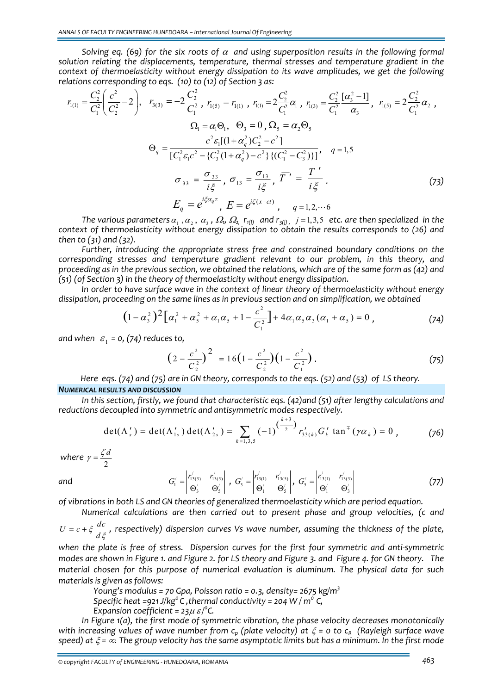*Solving eq. (69) for the six roots of* <sup>α</sup> *and using superposition results in the following formal solution relating the displacements, temperature, thermal stresses and temperature gradient in the context of thermoelasticity without energy dissipation to its wave amplitudes, we get the following relations corresponding to eqs. (10) to (12) of Section 3 as:* 

$$
r_{1(1)} = \frac{C_2^2}{C_1^2} \left( \frac{c^2}{C_2^2} - 2 \right), \quad r_{3(3)} = -2 \frac{C_2^2}{C_1^2}, \quad r_{1(5)} = r_{1(1)}, \quad r_{1(1)} = 2 \frac{C_2^2}{C_1^2} \alpha_1, \quad r_{1(3)} = \frac{C_2^2}{C_1^2} \frac{[\alpha_3^2 - 1]}{\alpha_3}, \quad r_{1(5)} = 2 \frac{C_2^2}{C_1^2} \alpha_2,
$$
\n
$$
\Omega_1 = \alpha_1 \Theta_1, \quad \Theta_3 = 0, \quad \Omega_5 = \alpha_2 \Theta_5
$$
\n
$$
\Theta_q = \frac{c^2 \varepsilon_1 [(1 + \alpha_q^2) C_2^2 - c^2]}{[C_1^2 \varepsilon_1 c^2 - \{C_3^2 (1 + \alpha_q^2) - c^2\} \{ (C_1^2 - C_3^2) \}]}, \quad q = 1, 5
$$
\n
$$
\overline{\sigma}_{33} = \frac{\sigma_{33}}{i \xi}, \quad \overline{\sigma}_{13} = \frac{\sigma_{13}}{i \xi}, \quad \overline{T}' = \frac{T'}{i \xi}.
$$
\n
$$
E_q = e^{i \xi \alpha_q z}, \quad E = e^{i \xi (x - ct)}, \quad q = 1, 2, \dots 6
$$
\n(73)

The various parameters  $\alpha_1$ ,  $\alpha_2$ ,  $\alpha_3$ ,  $\Omega_0$ ,  $\Omega_2$ ,  $r_{1(i)}$  and  $r_{3(i)}$ ,  $j = 1,3,5$  etc. are then specialized in the *context of thermoelasticity without energy dissipation to obtain the results corresponds to (26) and then to (31) and (32).* 

*Further, introducing the appropriate stress free and constrained boundary conditions on the corresponding stresses and temperature gradient relevant to our problem, in this theory, and* proceeding as in the previous section, we obtained the relations, which are of the same form as  $(42)$  and *(51) (of Section 3) in the theory of thermoelasticity without energy dissipation.*

 *In order to have surface wave in the context of linear theory of thermoelasticity without energy dissipation, proceeding on the same lines as in previous section and on simplification, we obtained*

$$
(1 - \alpha_3^2)^2 \Big[ \alpha_1^2 + \alpha_5^2 + \alpha_1 \alpha_5 + 1 - \frac{c^2}{C_1^2} \Big] + 4 \alpha_1 \alpha_5 \alpha_3 (\alpha_1 + \alpha_5) = 0 , \qquad (74)
$$

*and* when  $\varepsilon_1 = 0$ , (74) reduces to,

$$
\left(2 - \frac{c^2}{C_2^2}\right)^2 = 16\left(1 - \frac{c^2}{C_2^2}\right)\left(1 - \frac{c^2}{C_1^2}\right). \tag{75}
$$

Here eqs. (74) and (75) are in GN theory, corresponds to the eqs. (52) and (53) of LS theory. *NUMERICAL RESULTS AND DISCUSSION*

*In this section, firstly, we found that characteristic eqs. (42)and (51) after lengthy calculations and reductions decoupled into symmetric and antisymmetric modes respectively.* 

$$
\det(\Lambda'_{s}) = \det(\Lambda'_{1s}) \det(\Lambda'_{2s}) = \sum_{k=1,3,5} (-1)^{(\frac{k+3}{2})} r'_{33(k)} G'_{k} \tan^{\pi}(\gamma \alpha_{k}) = 0 , \qquad (76)
$$

where  $\gamma = \frac{5}{2}$  $\gamma = \frac{\zeta d}{2}$ 

*and* 

$$
G'_{1} = \begin{vmatrix} r'_{13(3)} & r'_{13(5)} \\ \Theta'_{3} & \Theta'_{5} \end{vmatrix}, G'_{3} = \begin{vmatrix} r'_{13(1)} & r'_{13(5)} \\ \Theta'_{1} & \Theta'_{5} \end{vmatrix}, G'_{5} = \begin{vmatrix} r'_{13(1)} & r'_{13(3)} \\ \Theta'_{1} & \Theta'_{3} \end{vmatrix}
$$
(77)

*of vibrations in both LS and GN theories of generalized thermoelasticity which are period equation.* 

Numerical calculations are then carried out to present phase and group velocities, (c and 
$$
U = c + \xi \frac{dc}{d\xi}
$$
, respectively) dispersion curves Vs wave number, assuming the thickness of the plate,

when the plate is free of stress. Dispersion curves for the first four symmetric and anti-symmetric modes are shown in Figure 1. and Figure 2. for LS theory and Figure 3. and Figure 4. for GN theory. The *material chosen for this purpose of numerical evaluation is aluminum. The physical data for such materials is given as follows:*

*Young's modulus = 70 Gpa, Poisson ratio = 0.3, density= 2675 kg/m<sup>3</sup>*

*Specific heat =921 J/kg<sup>o</sup> C, thermal conductivity = 204 W / m<sup>o</sup> C,* 

*Expansion coefficient* =  $23\mu \varepsilon$ /<sup>o</sup>C.

*In Figure 1(a), the first mode of symmetric vibration, the phase velocity decreases monotonically* with increasing values of wave number from  $c_p$  (plate velocity) at  $\xi = o$  to  $c_R$  (Rayleigh surface wave speed) at  $\xi = \infty$ . The group velocity has the same asymptotic limits but has a minimum. In the first mode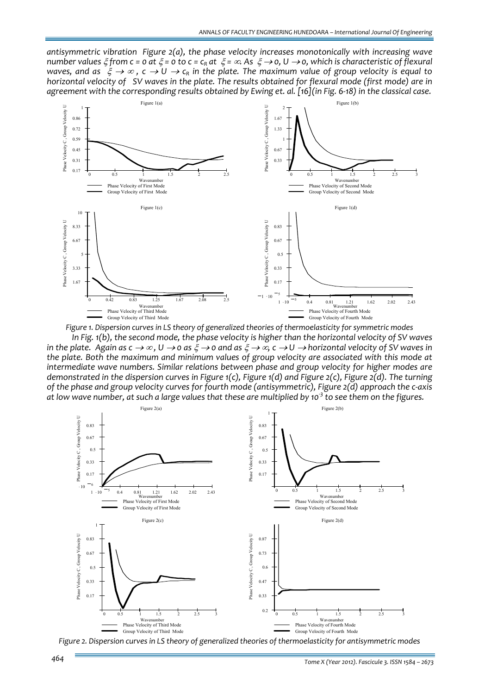*antisymmetric vibration Figure 2(a), the phase velocity increases monotonically with increasing wave* number values  $\xi$  from c = 0 at  $\xi$  = 0 to c = c<sub>R</sub> at  $\xi = \infty$ . As  $\xi \to 0$ , U  $\to 0$ , which is characteristic of flexural waves, and as  $\xi \to \infty$ ,  $c \to U \to c_R$  in the plate. The maximum value of group velocity is equal to horizontal velocity of SV waves in the plate. The results obtained for flexural mode (first mode) are in agreement with the corresponding results obtained by Ewing et. al. [16] (in Fig. 6-18) in the classical case.



*Figure 1. Dispersion curves in LS theory of generalized theories of thermoelasticity for symmetric modes* In Fig. 1(b), the second mode, the phase velocity is higher than the horizontal velocity of SV waves in the plate. Again as  $c \to \infty$ ,  $U \to o$  as  $\xi \to o$  and as  $\xi \to \infty$ ,  $c \to U \to$  horizontal velocity of SV waves in *the plate. Both the maximum and minimum values of group velocity are associated with this mode at intermediate wave numbers. Similar relations between phase and group velocity for higher modes are* demonstrated in the dispersion curves in Figure  $1(c)$ , Figure  $1(d)$  and Figure  $2(c)$ , Figure  $2(d)$ . The turning of the phase and group velocity curves for fourth mode (antisymmetric), Figure 2(d) approach the c-axis at low wave number, at such a large values that these are multiplied by 10<sup>3</sup> to see them on the figures.



*Figure 2. Dispersion curves in LS theory of generalized theories of thermoelasticity for antisymmetric modes*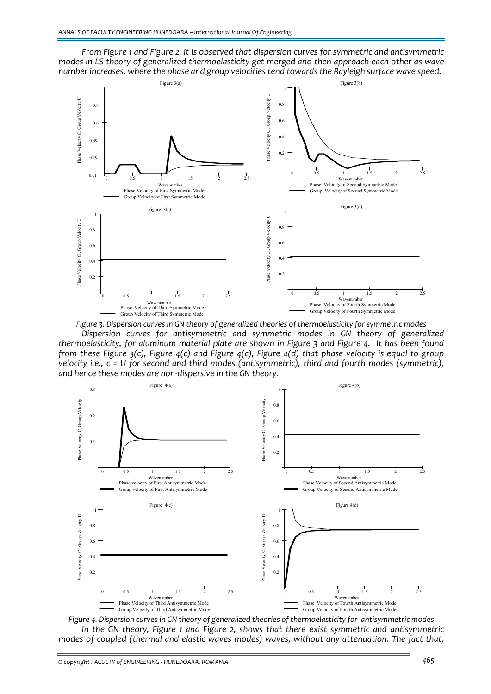



*Figure 3. Dispersion curves in GN theory of generalized theories of thermoelasticity for symmetric modes*

*Dispersion curves for antisymmetric and symmetric modes in GN theory of generalized* thermoelasticity, for aluminum material plate are shown in Figure 3 and Figure 4. It has been found from these Figure  $3(c)$ , Figure  $4(c)$  and Figure  $4(c)$ , Figure  $4(d)$  that phase velocity is equal to group *velocity i.e., c = U for second and third modes (antisymmetric), third and fourth modes (symmetric), and hence these modes are non‐dispersive in the GN theory.*



*Figure 4. Dispersion curves in GN theory of generalized theories of thermoelasticity for antisymmetric modes In the GN theory, Figure 1 and Figure 2, shows that there exist symmetric and antisymmetric modes of coupled (thermal and elastic waves modes) waves, without any attenuation. The fact that,*